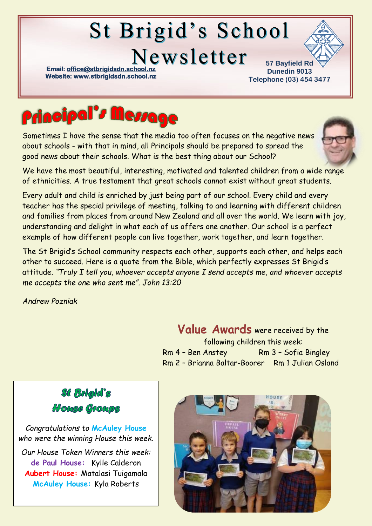# St Brigid's School

Newsletter

**Email: office@stbrigidsdn.school. Website[: www.stbrigidsdn.school.nz](http://www.stbrigidsdn.school.nz/)** 

**57 Bayfield Rd Dunedin 9013 Telephone (03) 454 3477** 



Sometimes I have the sense that the media too often focuses on the negative news about schools - with that in mind, all Principals should be prepared to spread the good news about their schools. What is the best thing about our School?



Every adult and child is enriched by just being part of our school. Every child and every teacher has the special privilege of meeting, talking to and learning with different children and families from places from around New Zealand and all over the world. We learn with joy, understanding and delight in what each of us offers one another. Our school is a perfect example of how different people can live together, work together, and learn together.

The St Brigid's School community respects each other, supports each other, and helps each other to succeed. Here is a quote from the Bible, which perfectly expresses St Brigid's attitude. *"Truly I tell you, whoever accepts anyone I send accepts me, and whoever accepts me accepts the one who sent me". John 13:20*

*Andrew Pozniak*

Value Awards were received by the following children this week: Rm 4 - Ben Anstey Rm 3 - Sofia Bingley Rm 2 – Brianna Baltar-Boorer Rm 1 Julian Osland



*Congratulations to* **McAuley House** *who were the winning House this week.*

*Our House Token Winners this week:* **de Paul House:** Kylle Calderon **Aubert House:** Matalasi Tuigamala **McAuley House:** Kyla Roberts

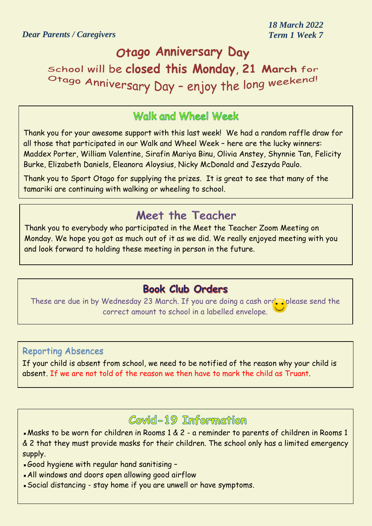# Otago Anniversary Day

School will be closed this Monday, 21 March for Otago Anniversary Day - enjoy the long weekend!

## Walk and Wheel Week

Thank you for your awesome support with this last week! We had a random raffle draw for all those that participated in our Walk and Wheel Week – here are the lucky winners: Maddex Porter, William Valentine, Sirafin Mariya Binu, Olivia Anstey, Shynnie Tan, Felicity Burke, Elizabeth Daniels, Eleanora Aloysius, Nicky McDonald and Jeszyda Paulo.

Thank you to Sport Otago for supplying the prizes. It is great to see that many of the tamariki are continuing with walking or wheeling to school.

# Meet the Teacher

Thank you to everybody who participated in the Meet the Teacher Zoom Meeting on Monday. We hope you got as much out of it as we did. We really enjoyed meeting with you and look forward to holding these meeting in person in the future.

#### **Book Club Orders**

These are due in by Wednesday 23 March. If you are doing a cash order please send the correct amount to school in a labelled envelope.

#### Reporting Absences

If your child is absent from school, we need to be notified of the reason why your child is absent. If we are not told of the reason we then have to mark the child as Truant.

# Covid-19 Information

▪Masks to be worn for children in Rooms 1 & 2 - a reminder to parents of children in Rooms 1 & 2 that they must provide masks for their children. The school only has a limited emergency supply.

- ▪Good hygiene with regular hand sanitising –
- **All windows and doors open allowing good airflow**
- ▪Social distancing stay home if you are unwell or have symptoms.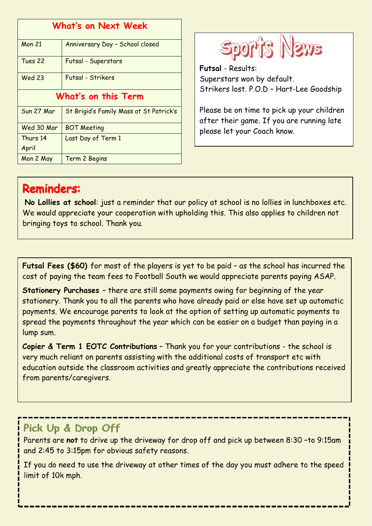| <b>What's on Next Week</b> |                                         |
|----------------------------|-----------------------------------------|
| <b>Mon 21</b>              | Anniversary Day - School closed         |
| Tues 22                    | Futsal - Superstars                     |
| <b>Wed 23</b>              | Futsal - Strikers                       |
| What's on this Term        |                                         |
| Sun 27 Mar                 | St Brigid's Family Mass at St Patrick's |
| Wed 30 Mar                 | <b>BOT Meeting</b>                      |
| Thurs 14                   | Last Day of Term 1                      |
| April                      |                                         |
| Mon 2 May                  | Term 2 Begins                           |



**Futsal** - Results: Superstars won by default. Strikers lost. P.O.D – Hart-Lee Goodship

Please be on time to pick up your children after their game. If you are running late please let your Coach know.

# **Reminders:**

**No Lollies at school**: just a reminder that our policy at school is no lollies in lunchboxes etc. We would appreciate your cooperation with upholding this. This also applies to children not bringing toys to school. Thank you.

**Futsal Fees (\$60)** for most of the players is yet to be paid – as the school has incurred the cost of paying the team fees to Football South we would appreciate parents paying ASAP.

**Stationery Purchases** – there are still some payments owing for beginning of the year stationery. Thank you to all the parents who have already paid or else have set up automatic payments. We encourage parents to look at the option of setting up automatic payments to spread the payments throughout the year which can be easier on a budget than paying in a lump sum.

**Copier & Term 1 EOTC Contributions** – Thank you for your contributions - the school is very much reliant on parents assisting with the additional costs of transport etc with education outside the classroom activities and greatly appreciate the contributions received from parents/caregivers.

#### Pick Up & Drop Off

Parents are not to drive up the driveway for drop off and pick up between 8:30 -to 9:15am and 2:45 to 3:15pm for obvious safety reasons.

If you do need to use the driveway at other times of the day you must adhere to the speed limit of 10k mph.